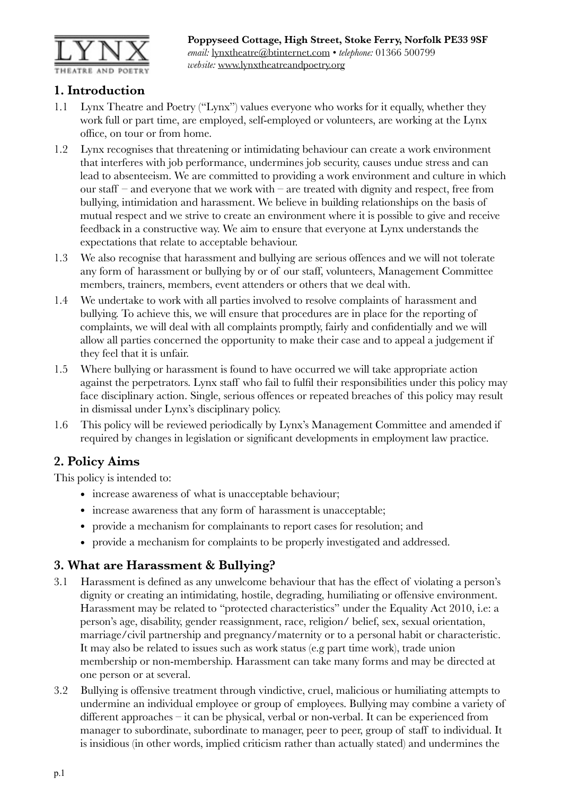

### **1. Introduction**

- 1.1 Lynx Theatre and Poetry ("Lynx") values everyone who works for it equally, whether they work full or part time, are employed, self-employed or volunteers, are working at the Lynx office, on tour or from home.
- 1.2 Lynx recognises that threatening or intimidating behaviour can create a work environment that interferes with job performance, undermines job security, causes undue stress and can lead to absenteeism. We are committed to providing a work environment and culture in which our staff – and everyone that we work with – are treated with dignity and respect, free from bullying, intimidation and harassment. We believe in building relationships on the basis of mutual respect and we strive to create an environment where it is possible to give and receive feedback in a constructive way. We aim to ensure that everyone at Lynx understands the expectations that relate to acceptable behaviour.
- 1.3 We also recognise that harassment and bullying are serious offences and we will not tolerate any form of harassment or bullying by or of our staff, volunteers, Management Committee members, trainers, members, event attenders or others that we deal with.
- 1.4 We undertake to work with all parties involved to resolve complaints of harassment and bullying. To achieve this, we will ensure that procedures are in place for the reporting of complaints, we will deal with all complaints promptly, fairly and confidentially and we will allow all parties concerned the opportunity to make their case and to appeal a judgement if they feel that it is unfair.
- 1.5 Where bullying or harassment is found to have occurred we will take appropriate action against the perpetrators. Lynx staff who fail to fulfil their responsibilities under this policy may face disciplinary action. Single, serious offences or repeated breaches of this policy may result in dismissal under Lynx's disciplinary policy.
- 1.6 This policy will be reviewed periodically by Lynx's Management Committee and amended if required by changes in legislation or significant developments in employment law practice.

## **2. Policy Aims**

This policy is intended to:

- increase awareness of what is unacceptable behaviour;
- increase awareness that any form of harassment is unacceptable;
- provide a mechanism for complainants to report cases for resolution; and
- provide a mechanism for complaints to be properly investigated and addressed.

### **3. What are Harassment & Bullying?**

- 3.1 Harassment is defined as any unwelcome behaviour that has the effect of violating a person's dignity or creating an intimidating, hostile, degrading, humiliating or offensive environment. Harassment may be related to "protected characteristics" under the Equality Act 2010, i.e: a person's age, disability, gender reassignment, race, religion/ belief, sex, sexual orientation, marriage/civil partnership and pregnancy/maternity or to a personal habit or characteristic. It may also be related to issues such as work status (e.g part time work), trade union membership or non-membership. Harassment can take many forms and may be directed at one person or at several.
- 3.2 Bullying is offensive treatment through vindictive, cruel, malicious or humiliating attempts to undermine an individual employee or group of employees. Bullying may combine a variety of different approaches – it can be physical, verbal or non-verbal. It can be experienced from manager to subordinate, subordinate to manager, peer to peer, group of staff to individual. It is insidious (in other words, implied criticism rather than actually stated) and undermines the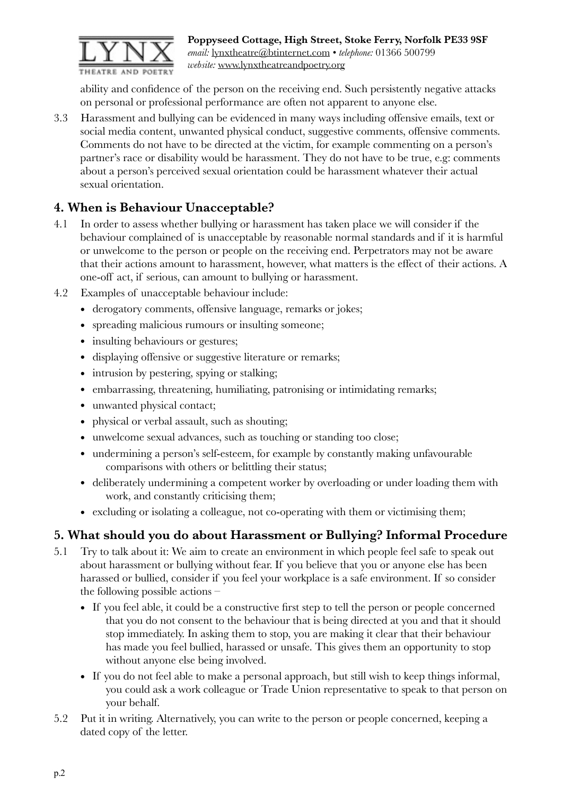

ability and confidence of the person on the receiving end. Such persistently negative attacks on personal or professional performance are often not apparent to anyone else.

3.3 Harassment and bullying can be evidenced in many ways including offensive emails, text or social media content, unwanted physical conduct, suggestive comments, offensive comments. Comments do not have to be directed at the victim, for example commenting on a person's partner's race or disability would be harassment. They do not have to be true, e.g: comments about a person's perceived sexual orientation could be harassment whatever their actual sexual orientation.

# **4. When is Behaviour Unacceptable?**

- 4.1 In order to assess whether bullying or harassment has taken place we will consider if the behaviour complained of is unacceptable by reasonable normal standards and if it is harmful or unwelcome to the person or people on the receiving end. Perpetrators may not be aware that their actions amount to harassment, however, what matters is the effect of their actions. A one-off act, if serious, can amount to bullying or harassment.
- 4.2 Examples of unacceptable behaviour include:
	- derogatory comments, offensive language, remarks or jokes;
	- spreading malicious rumours or insulting someone;
	- insulting behaviours or gestures;
	- displaying offensive or suggestive literature or remarks;
	- intrusion by pestering, spying or stalking;
	- embarrassing, threatening, humiliating, patronising or intimidating remarks;
	- unwanted physical contact;
	- physical or verbal assault, such as shouting;
	- unwelcome sexual advances, such as touching or standing too close;
	- undermining a person's self-esteem, for example by constantly making unfavourable comparisons with others or belittling their status;
	- deliberately undermining a competent worker by overloading or under loading them with work, and constantly criticising them;
	- excluding or isolating a colleague, not co-operating with them or victimising them;

## **5. What should you do about Harassment or Bullying? Informal Procedure**

- 5.1 Try to talk about it: We aim to create an environment in which people feel safe to speak out about harassment or bullying without fear. If you believe that you or anyone else has been harassed or bullied, consider if you feel your workplace is a safe environment. If so consider the following possible actions –
	- If you feel able, it could be a constructive first step to tell the person or people concerned that you do not consent to the behaviour that is being directed at you and that it should stop immediately. In asking them to stop, you are making it clear that their behaviour has made you feel bullied, harassed or unsafe. This gives them an opportunity to stop without anyone else being involved.
	- If you do not feel able to make a personal approach, but still wish to keep things informal, you could ask a work colleague or Trade Union representative to speak to that person on your behalf.
- 5.2 Put it in writing. Alternatively, you can write to the person or people concerned, keeping a dated copy of the letter.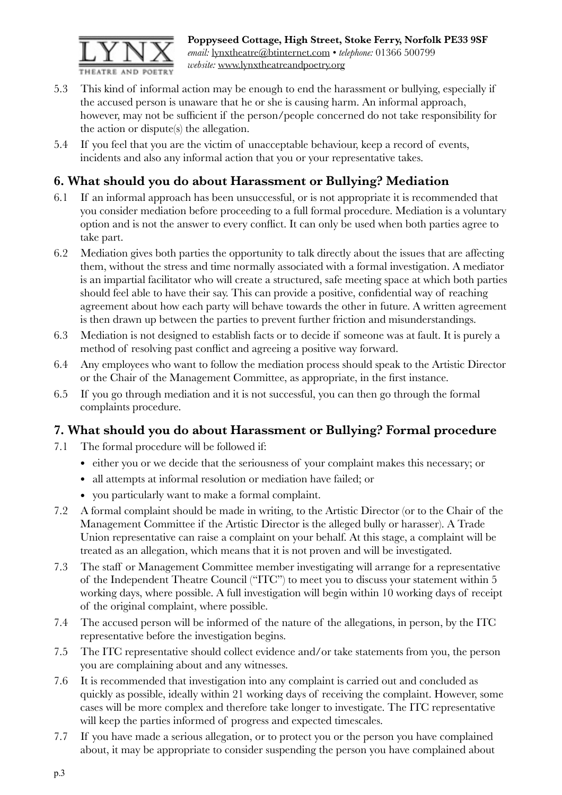

**Poppyseed Cottage, High Street, Stoke Ferry, Norfolk PE33 9SF**  *email:* [lynxtheatre@btinternet.com](mailto:lynxtheatre@btinternet.com) • *telephone:* 01366 500799 *website:* [www.lynxtheatreandpoetry.org](http://www.lynxtheatreandpoetry.org)

- 5.3 This kind of informal action may be enough to end the harassment or bullying, especially if the accused person is unaware that he or she is causing harm. An informal approach, however, may not be sufficient if the person/people concerned do not take responsibility for the action or dispute(s) the allegation.
- 5.4 If you feel that you are the victim of unacceptable behaviour, keep a record of events, incidents and also any informal action that you or your representative takes.

# **6. What should you do about Harassment or Bullying? Mediation**

- 6.1 If an informal approach has been unsuccessful, or is not appropriate it is recommended that you consider mediation before proceeding to a full formal procedure. Mediation is a voluntary option and is not the answer to every conflict. It can only be used when both parties agree to take part.
- 6.2 Mediation gives both parties the opportunity to talk directly about the issues that are affecting them, without the stress and time normally associated with a formal investigation. A mediator is an impartial facilitator who will create a structured, safe meeting space at which both parties should feel able to have their say. This can provide a positive, confidential way of reaching agreement about how each party will behave towards the other in future. A written agreement is then drawn up between the parties to prevent further friction and misunderstandings.
- 6.3 Mediation is not designed to establish facts or to decide if someone was at fault. It is purely a method of resolving past conflict and agreeing a positive way forward.
- 6.4 Any employees who want to follow the mediation process should speak to the Artistic Director or the Chair of the Management Committee, as appropriate, in the first instance.
- 6.5 If you go through mediation and it is not successful, you can then go through the formal complaints procedure.

### **7. What should you do about Harassment or Bullying? Formal procedure**

- 7.1 The formal procedure will be followed if:
	- either you or we decide that the seriousness of your complaint makes this necessary; or
	- all attempts at informal resolution or mediation have failed; or
	- you particularly want to make a formal complaint.
- 7.2 A formal complaint should be made in writing, to the Artistic Director (or to the Chair of the Management Committee if the Artistic Director is the alleged bully or harasser). A Trade Union representative can raise a complaint on your behalf. At this stage, a complaint will be treated as an allegation, which means that it is not proven and will be investigated.
- 7.3 The staff or Management Committee member investigating will arrange for a representative of the Independent Theatre Council ("ITC") to meet you to discuss your statement within 5 working days, where possible. A full investigation will begin within 10 working days of receipt of the original complaint, where possible.
- 7.4 The accused person will be informed of the nature of the allegations, in person, by the ITC representative before the investigation begins.
- 7.5 The ITC representative should collect evidence and/or take statements from you, the person you are complaining about and any witnesses.
- 7.6 It is recommended that investigation into any complaint is carried out and concluded as quickly as possible, ideally within 21 working days of receiving the complaint. However, some cases will be more complex and therefore take longer to investigate. The ITC representative will keep the parties informed of progress and expected timescales.
- 7.7 If you have made a serious allegation, or to protect you or the person you have complained about, it may be appropriate to consider suspending the person you have complained about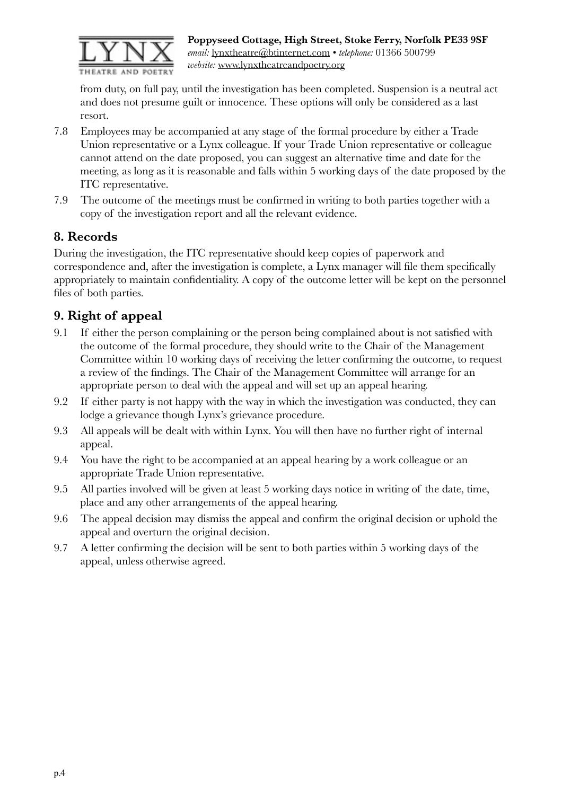

from duty, on full pay, until the investigation has been completed. Suspension is a neutral act and does not presume guilt or innocence. These options will only be considered as a last resort.

- 7.8 Employees may be accompanied at any stage of the formal procedure by either a Trade Union representative or a Lynx colleague. If your Trade Union representative or colleague cannot attend on the date proposed, you can suggest an alternative time and date for the meeting, as long as it is reasonable and falls within 5 working days of the date proposed by the ITC representative.
- 7.9 The outcome of the meetings must be confirmed in writing to both parties together with a copy of the investigation report and all the relevant evidence.

## **8. Records**

During the investigation, the ITC representative should keep copies of paperwork and correspondence and, after the investigation is complete, a Lynx manager will file them specifically appropriately to maintain confidentiality. A copy of the outcome letter will be kept on the personnel files of both parties.

# **9. Right of appeal**

- 9.1 If either the person complaining or the person being complained about is not satisfied with the outcome of the formal procedure, they should write to the Chair of the Management Committee within 10 working days of receiving the letter confirming the outcome, to request a review of the findings. The Chair of the Management Committee will arrange for an appropriate person to deal with the appeal and will set up an appeal hearing.
- 9.2 If either party is not happy with the way in which the investigation was conducted, they can lodge a grievance though Lynx's grievance procedure.
- 9.3 All appeals will be dealt with within Lynx. You will then have no further right of internal appeal.
- 9.4 You have the right to be accompanied at an appeal hearing by a work colleague or an appropriate Trade Union representative.
- 9.5 All parties involved will be given at least 5 working days notice in writing of the date, time, place and any other arrangements of the appeal hearing.
- 9.6 The appeal decision may dismiss the appeal and confirm the original decision or uphold the appeal and overturn the original decision.
- 9.7 A letter confirming the decision will be sent to both parties within 5 working days of the appeal, unless otherwise agreed.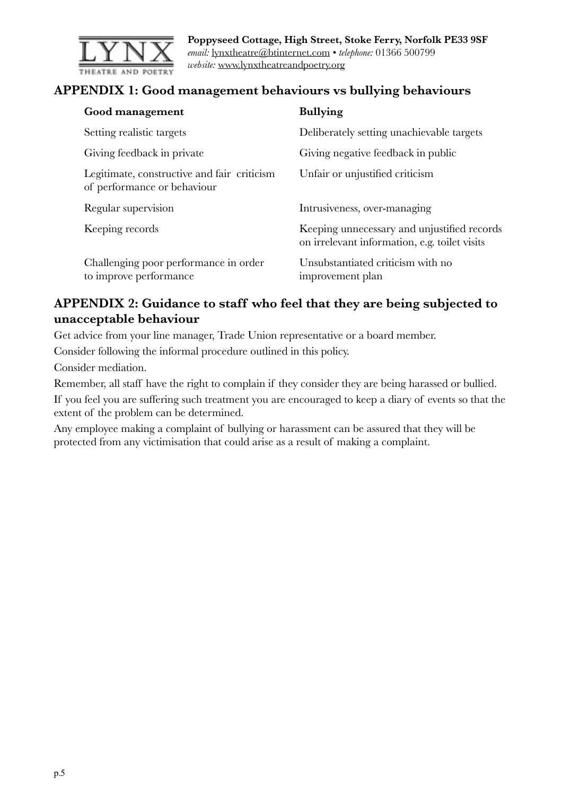

**Poppyseed Cottage, High Street, Stoke Ferry, Norfolk PE33 9SF**  *email:* [lynxtheatre@btinternet.com](mailto:lynxtheatre@btinternet.com) • *telephone:* 01366 500799 *website:* [www.lynxtheatreandpoetry.org](http://www.lynxtheatreandpoetry.org)

### **APPENDIX 1: Good management behaviours vs bullying behaviours**

| Good management                                                            | <b>Bullying</b>                                                                              |
|----------------------------------------------------------------------------|----------------------------------------------------------------------------------------------|
| Setting realistic targets                                                  | Deliberately setting unachievable targets                                                    |
| Giving feedback in private                                                 | Giving negative feedback in public                                                           |
| Legitimate, constructive and fair criticism<br>of performance or behaviour | Unfair or unjustified criticism                                                              |
| Regular supervision                                                        | Intrusiveness, over-managing                                                                 |
| Keeping records                                                            | Keeping unnecessary and unjustified records<br>on irrelevant information, e.g. toilet visits |
| Challenging poor performance in order<br>to improve performance            | Unsubstantiated criticism with no<br>improvement plan                                        |

### **APPENDIX 2: Guidance to staff who feel that they are being subjected to unacceptable behaviour**

Get advice from your line manager, Trade Union representative or a board member.

Consider following the informal procedure outlined in this policy.

Consider mediation.

Remember, all staff have the right to complain if they consider they are being harassed or bullied.

If you feel you are suffering such treatment you are encouraged to keep a diary of events so that the extent of the problem can be determined.

Any employee making a complaint of bullying or harassment can be assured that they will be protected from any victimisation that could arise as a result of making a complaint.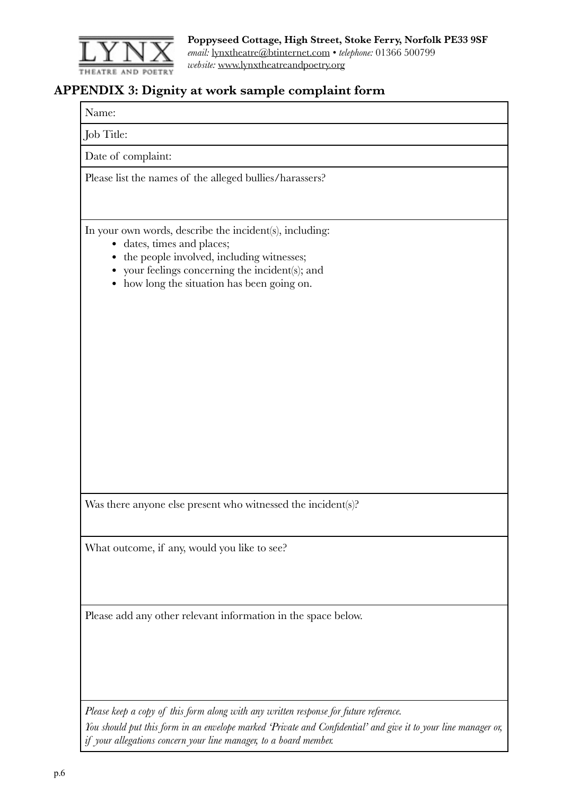

### **APPENDIX 3: Dignity at work sample complaint form**

Name:

Job Title:

Date of complaint:

Please list the names of the alleged bullies/harassers?

In your own words, describe the incident(s), including:

- dates, times and places;
- the people involved, including witnesses;
- your feelings concerning the incident(s); and
- how long the situation has been going on.

Was there anyone else present who witnessed the incident(s)?

What outcome, if any, would you like to see?

Please add any other relevant information in the space below.

*Please keep a copy of this form along with any written response for future reference. You should put this form in an envelope marked 'Private and Confidential' and give it to your line manager or, if your allegations concern your line manager, to a board member.*